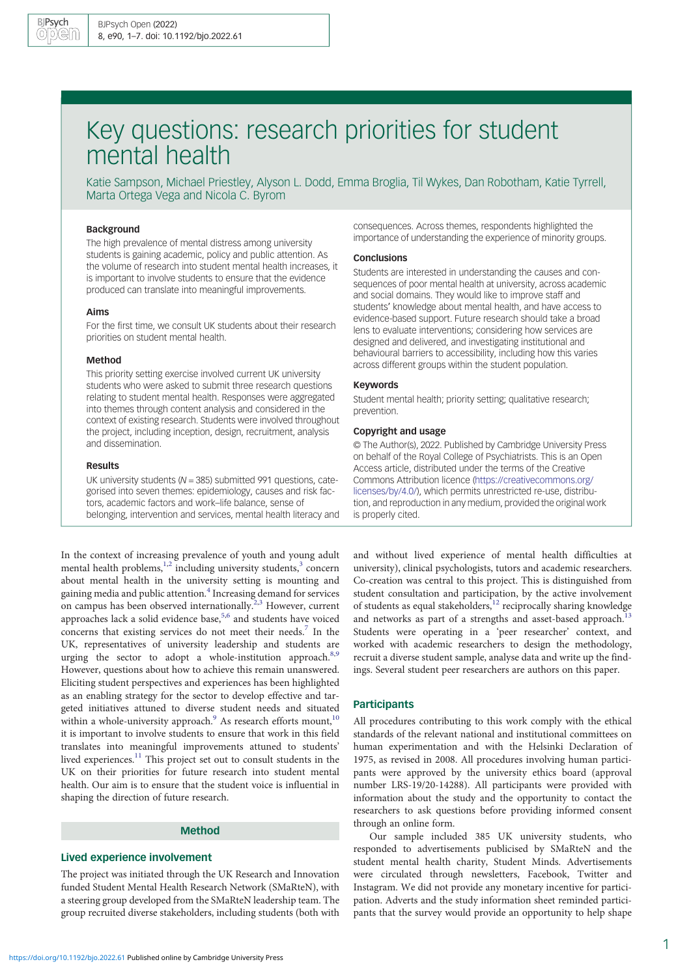# Key questions: research priorities for student mental health

Katie Sampson, Michael Priestley, Alyson L. Dodd, Emma Broglia, Til Wykes, Dan Robotham, Katie Tyrrell, Marta Ortega Vega and Nicola C. Byrom

#### Background

The high prevalence of mental distress among university students is gaining academic, policy and public attention. As the volume of research into student mental health increases, it is important to involve students to ensure that the evidence produced can translate into meaningful improvements.

## Aims

For the first time, we consult UK students about their research priorities on student mental health.

#### Method

This priority setting exercise involved current UK university students who were asked to submit three research questions relating to student mental health. Responses were aggregated into themes through content analysis and considered in the context of existing research. Students were involved throughout the project, including inception, design, recruitment, analysis and dissemination.

#### Results

UK university students ( $N = 385$ ) submitted 991 questions, categorised into seven themes: epidemiology, causes and risk factors, academic factors and work–life balance, sense of belonging, intervention and services, mental health literacy and

In the context of increasing prevalence of youth and young adult mental health problems,<sup>[1,2](#page-5-0)</sup> including university students,<sup>[3](#page-5-0)</sup> concern about mental health in the university setting is mounting and gaining media and public attention.<sup>[4](#page-5-0)</sup> Increasing demand for services on campus has been observed internationally.<sup>[2,3](#page-5-0)</sup> However, current approaches lack a solid evidence base,<sup>5,6</sup> and students have voiced concerns that existing services do not meet their needs.<sup>[7](#page-6-0)</sup> In the UK, representatives of university leadership and students are urging the sector to adopt a whole-institution approach.<sup>[8,9](#page-6-0)</sup> However, questions about how to achieve this remain unanswered. Eliciting student perspectives and experiences has been highlighted as an enabling strategy for the sector to develop effective and targeted initiatives attuned to diverse student needs and situated within a whole-university approach.<sup>[9](#page-6-0)</sup> As research efforts mount,<sup>10</sup> it is important to involve students to ensure that work in this field translates into meaningful improvements attuned to students' lived experiences.<sup>[11](#page-6-0)</sup> This project set out to consult students in the UK on their priorities for future research into student mental health. Our aim is to ensure that the student voice is influential in shaping the direction of future research.

# Method

# Lived experience involvement

The project was initiated through the UK Research and Innovation funded Student Mental Health Research Network (SMaRteN), with a steering group developed from the SMaRteN leadership team. The group recruited diverse stakeholders, including students (both with

consequences. Across themes, respondents highlighted the importance of understanding the experience of minority groups.

## Conclusions

Students are interested in understanding the causes and consequences of poor mental health at university, across academic and social domains. They would like to improve staff and students' knowledge about mental health, and have access to evidence-based support. Future research should take a broad lens to evaluate interventions; considering how services are designed and delivered, and investigating institutional and behavioural barriers to accessibility, including how this varies across different groups within the student population.

# Keywords

Student mental health; priority setting; qualitative research; prevention.

#### Copyright and usage

© The Author(s), 2022. Published by Cambridge University Press on behalf of the Royal College of Psychiatrists. This is an Open Access article, distributed under the terms of the Creative Commons Attribution licence [\(https://creativecommons.org/](https://creativecommons.org/licenses/by/4.0/) [licenses/by/4.0/](https://creativecommons.org/licenses/by/4.0/)), which permits unrestricted re-use, distribution, and reproduction in any medium, provided the original work is properly cited.

and without lived experience of mental health difficulties at university), clinical psychologists, tutors and academic researchers. Co-creation was central to this project. This is distinguished from student consultation and participation, by the active involvement of students as equal stakeholders,<sup>[12](#page-6-0)</sup> reciprocally sharing knowledge and networks as part of a strengths and asset-based approach.<sup>1</sup> Students were operating in a 'peer researcher' context, and worked with academic researchers to design the methodology, recruit a diverse student sample, analyse data and write up the findings. Several student peer researchers are authors on this paper.

## **Participants**

All procedures contributing to this work comply with the ethical standards of the relevant national and institutional committees on human experimentation and with the Helsinki Declaration of 1975, as revised in 2008. All procedures involving human participants were approved by the university ethics board (approval number LRS-19/20-14288). All participants were provided with information about the study and the opportunity to contact the researchers to ask questions before providing informed consent through an online form.

Our sample included 385 UK university students, who responded to advertisements publicised by SMaRteN and the student mental health charity, Student Minds. Advertisements were circulated through newsletters, Facebook, Twitter and Instagram. We did not provide any monetary incentive for participation. Adverts and the study information sheet reminded participants that the survey would provide an opportunity to help shape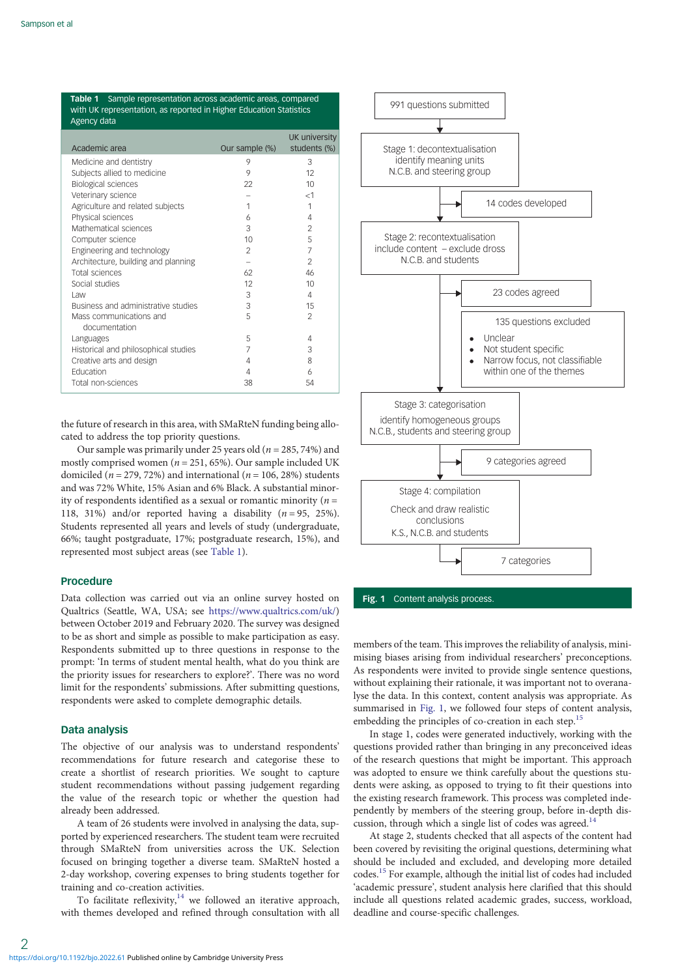#### <span id="page-1-0"></span>Table 1 Sample representation across academic areas, compared with UK representation, as reported in Higher Education Statistics Agency data

| Academic area                            | Our sample (%) | UK university<br>students (%) |
|------------------------------------------|----------------|-------------------------------|
| Medicine and dentistry                   | 9              | 3                             |
| Subjects allied to medicine              | 9              | 12                            |
| <b>Biological sciences</b>               | 22             | 10                            |
| Veterinary science                       |                | $<$ 1                         |
| Agriculture and related subjects         | 1              | 1                             |
| Physical sciences                        | 6              | 4                             |
| Mathematical sciences                    | 3              | $\overline{\phantom{a}}$      |
| Computer science                         | 10             | 5                             |
| Engineering and technology               | $\mathfrak{D}$ | 7                             |
| Architecture, building and planning      |                | $\overline{\phantom{a}}$      |
| Total sciences                           | 62             | 46                            |
| Social studies                           | 12             | 10                            |
| I aw                                     | 3              | 4                             |
| Business and administrative studies      | 3              | 15                            |
| Mass communications and<br>documentation | 5              | $\mathfrak{D}$                |
| Languages                                | 5              | 4                             |
| Historical and philosophical studies     | 7              | 3                             |
| Creative arts and design                 | 4              | 8                             |
| <b>Education</b>                         | 4              | 6                             |
| Total non-sciences                       | 38             | 54                            |

the future of research in this area, with SMaRteN funding being allocated to address the top priority questions.

Our sample was primarily under 25 years old ( $n = 285, 74\%$ ) and mostly comprised women ( $n = 251, 65\%$ ). Our sample included UK domiciled ( $n = 279, 72\%$ ) and international ( $n = 106, 28\%$ ) students and was 72% White, 15% Asian and 6% Black. A substantial minority of respondents identified as a sexual or romantic minority ( $n =$ 118, 31%) and/or reported having a disability ( $n = 95$ , 25%). Students represented all years and levels of study (undergraduate, 66%; taught postgraduate, 17%; postgraduate research, 15%), and represented most subject areas (see Table 1).

## Procedure

Data collection was carried out via an online survey hosted on Qualtrics (Seattle, WA, USA; see <https://www.qualtrics.com/uk/>) between October 2019 and February 2020. The survey was designed to be as short and simple as possible to make participation as easy. Respondents submitted up to three questions in response to the prompt: 'In terms of student mental health, what do you think are the priority issues for researchers to explore?'. There was no word limit for the respondents' submissions. After submitting questions, respondents were asked to complete demographic details.

#### Data analysis

The objective of our analysis was to understand respondents' recommendations for future research and categorise these to create a shortlist of research priorities. We sought to capture student recommendations without passing judgement regarding the value of the research topic or whether the question had already been addressed.

A team of 26 students were involved in analysing the data, supported by experienced researchers. The student team were recruited through SMaRteN from universities across the UK. Selection focused on bringing together a diverse team. SMaRteN hosted a 2-day workshop, covering expenses to bring students together for training and co-creation activities.

To facilitate reflexivity, $14$  we followed an iterative approach, with themes developed and refined through consultation with all



Fig. 1 Content analysis process.

members of the team. This improves the reliability of analysis, minimising biases arising from individual researchers' preconceptions. As respondents were invited to provide single sentence questions, without explaining their rationale, it was important not to overanalyse the data. In this context, content analysis was appropriate. As summarised in Fig. 1, we followed four steps of content analysis, embedding the principles of co-creation in each step.<sup>15</sup>

In stage 1, codes were generated inductively, working with the questions provided rather than bringing in any preconceived ideas of the research questions that might be important. This approach was adopted to ensure we think carefully about the questions students were asking, as opposed to trying to fit their questions into the existing research framework. This process was completed independently by members of the steering group, before in-depth discussion, through which a single list of codes was agreed.<sup>14</sup>

At stage 2, students checked that all aspects of the content had been covered by revisiting the original questions, determining what should be included and excluded, and developing more detailed codes.[15](#page-6-0) For example, although the initial list of codes had included 'academic pressure', student analysis here clarified that this should include all questions related academic grades, success, workload, deadline and course-specific challenges.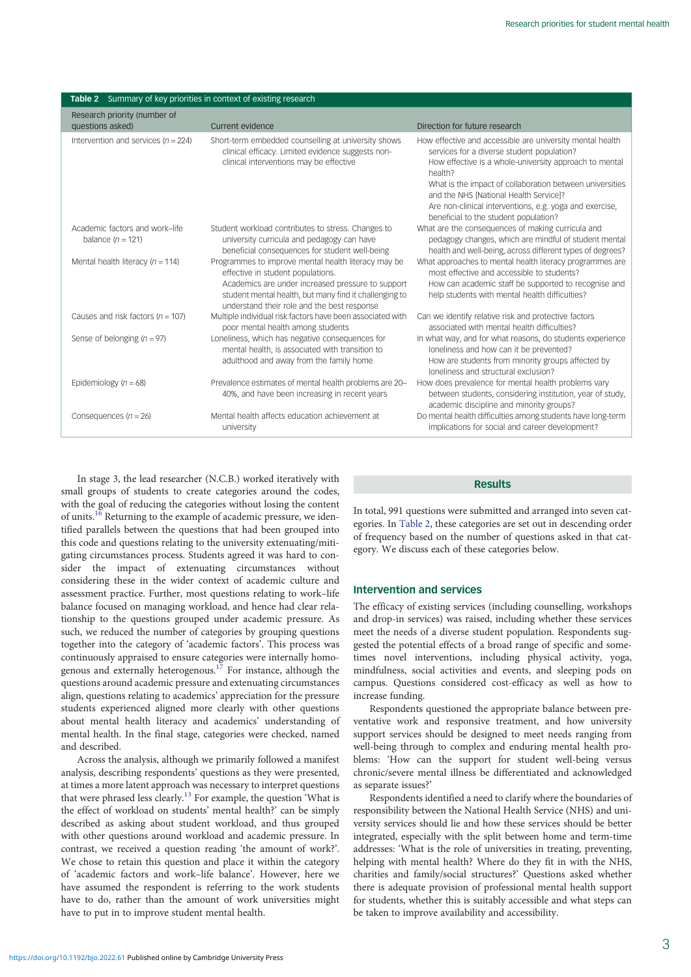<span id="page-2-0"></span>

| Table 2 Summary of key priorities in context of existing research |                                                                                                                                                                                                                                                        |                                                                                                                                                                                                                                                                                                                                               |  |
|-------------------------------------------------------------------|--------------------------------------------------------------------------------------------------------------------------------------------------------------------------------------------------------------------------------------------------------|-----------------------------------------------------------------------------------------------------------------------------------------------------------------------------------------------------------------------------------------------------------------------------------------------------------------------------------------------|--|
| Research priority (number of                                      |                                                                                                                                                                                                                                                        |                                                                                                                                                                                                                                                                                                                                               |  |
| questions asked)                                                  | Current evidence                                                                                                                                                                                                                                       | Direction for future research                                                                                                                                                                                                                                                                                                                 |  |
| Intervention and services ( $n = 224$ )                           | Short-term embedded counselling at university shows<br>clinical efficacy. Limited evidence suggests non-<br>clinical interventions may be effective                                                                                                    | How effective and accessible are university mental health<br>services for a diverse student population?<br>How effective is a whole-university approach to mental<br>health?<br>What is the impact of collaboration between universities<br>and the NHS [National Health Service]?<br>Are non-clinical interventions, e.g. yoga and exercise, |  |
|                                                                   |                                                                                                                                                                                                                                                        | beneficial to the student population?                                                                                                                                                                                                                                                                                                         |  |
| Academic factors and work-life<br>balance $(n = 121)$             | Student workload contributes to stress. Changes to<br>university curricula and pedagogy can have<br>beneficial consequences for student well-being                                                                                                     | What are the consequences of making curricula and<br>pedagogy changes, which are mindful of student mental<br>health and well-being, across different types of degrees?                                                                                                                                                                       |  |
| Mental health literacy ( $n = 114$ )                              | Programmes to improve mental health literacy may be<br>effective in student populations.<br>Academics are under increased pressure to support<br>student mental health, but many find it challenging to<br>understand their role and the best response | What approaches to mental health literacy programmes are<br>most effective and accessible to students?<br>How can academic staff be supported to recognise and<br>help students with mental health difficulties?                                                                                                                              |  |
| Causes and risk factors ( $n = 107$ )                             | Multiple individual risk factors have been associated with<br>poor mental health among students                                                                                                                                                        | Can we identify relative risk and protective factors<br>associated with mental health difficulties?                                                                                                                                                                                                                                           |  |
| Sense of belonging $(n = 97)$                                     | Loneliness, which has negative consequences for<br>mental health, is associated with transition to<br>adulthood and away from the family home                                                                                                          | In what way, and for what reasons, do students experience<br>loneliness and how can it be prevented?<br>How are students from minority groups affected by<br>loneliness and structural exclusion?                                                                                                                                             |  |
| Epidemiology ( $n = 68$ )                                         | Prevalence estimates of mental health problems are 20-<br>40%, and have been increasing in recent years                                                                                                                                                | How does prevalence for mental health problems vary<br>between students, considering institution, year of study,<br>academic discipline and minority groups?                                                                                                                                                                                  |  |
| Consequences $(n = 26)$                                           | Mental health affects education achievement at<br>university                                                                                                                                                                                           | Do mental health difficulties among students have long-term<br>implications for social and career development?                                                                                                                                                                                                                                |  |

In stage 3, the lead researcher (N.C.B.) worked iteratively with small groups of students to create categories around the codes, with the goal of reducing the categories without losing the content of units.[16](#page-6-0) Returning to the example of academic pressure, we identified parallels between the questions that had been grouped into this code and questions relating to the university extenuating/mitigating circumstances process. Students agreed it was hard to consider the impact of extenuating circumstances without considering these in the wider context of academic culture and assessment practice. Further, most questions relating to work–life balance focused on managing workload, and hence had clear relationship to the questions grouped under academic pressure. As such, we reduced the number of categories by grouping questions together into the category of 'academic factors'. This process was continuously appraised to ensure categories were internally homogenous and externally heterogenous.<sup>17</sup> For instance, although the questions around academic pressure and extenuating circumstances align, questions relating to academics' appreciation for the pressure students experienced aligned more clearly with other questions about mental health literacy and academics' understanding of mental health. In the final stage, categories were checked, named and described.

Across the analysis, although we primarily followed a manifest analysis, describing respondents' questions as they were presented, at times a more latent approach was necessary to interpret questions that were phrased less clearly.<sup>[13](#page-6-0)</sup> For example, the question 'What is the effect of workload on students' mental health?' can be simply described as asking about student workload, and thus grouped with other questions around workload and academic pressure. In contrast, we received a question reading 'the amount of work?'. We chose to retain this question and place it within the category of 'academic factors and work–life balance'. However, here we have assumed the respondent is referring to the work students have to do, rather than the amount of work universities might have to put in to improve student mental health.

## Results

In total, 991 questions were submitted and arranged into seven categories. In Table 2, these categories are set out in descending order of frequency based on the number of questions asked in that category. We discuss each of these categories below.

# Intervention and services

The efficacy of existing services (including counselling, workshops and drop-in services) was raised, including whether these services meet the needs of a diverse student population. Respondents suggested the potential effects of a broad range of specific and sometimes novel interventions, including physical activity, yoga, mindfulness, social activities and events, and sleeping pods on campus. Questions considered cost-efficacy as well as how to increase funding.

Respondents questioned the appropriate balance between preventative work and responsive treatment, and how university support services should be designed to meet needs ranging from well-being through to complex and enduring mental health problems: 'How can the support for student well-being versus chronic/severe mental illness be differentiated and acknowledged as separate issues?'

Respondents identified a need to clarify where the boundaries of responsibility between the National Health Service (NHS) and university services should lie and how these services should be better integrated, especially with the split between home and term-time addresses: 'What is the role of universities in treating, preventing, helping with mental health? Where do they fit in with the NHS, charities and family/social structures?' Questions asked whether there is adequate provision of professional mental health support for students, whether this is suitably accessible and what steps can be taken to improve availability and accessibility.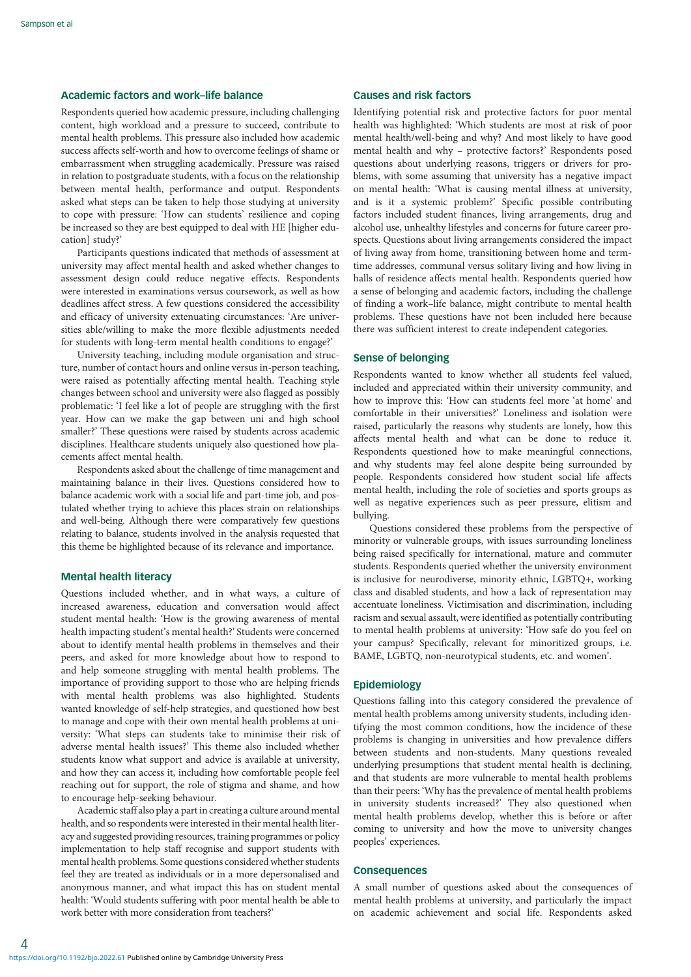# Academic factors and work–life balance

Respondents queried how academic pressure, including challenging content, high workload and a pressure to succeed, contribute to mental health problems. This pressure also included how academic success affects self-worth and how to overcome feelings of shame or embarrassment when struggling academically. Pressure was raised in relation to postgraduate students, with a focus on the relationship between mental health, performance and output. Respondents asked what steps can be taken to help those studying at university to cope with pressure: 'How can students' resilience and coping be increased so they are best equipped to deal with HE [higher education] study?'

Participants questions indicated that methods of assessment at university may affect mental health and asked whether changes to assessment design could reduce negative effects. Respondents were interested in examinations versus coursework, as well as how deadlines affect stress. A few questions considered the accessibility and efficacy of university extenuating circumstances: 'Are universities able/willing to make the more flexible adjustments needed for students with long-term mental health conditions to engage?'

University teaching, including module organisation and structure, number of contact hours and online versus in-person teaching, were raised as potentially affecting mental health. Teaching style changes between school and university were also flagged as possibly problematic: 'I feel like a lot of people are struggling with the first year. How can we make the gap between uni and high school smaller?' These questions were raised by students across academic disciplines. Healthcare students uniquely also questioned how placements affect mental health.

Respondents asked about the challenge of time management and maintaining balance in their lives. Questions considered how to balance academic work with a social life and part-time job, and postulated whether trying to achieve this places strain on relationships and well-being. Although there were comparatively few questions relating to balance, students involved in the analysis requested that this theme be highlighted because of its relevance and importance.

## Mental health literacy

Questions included whether, and in what ways, a culture of increased awareness, education and conversation would affect student mental health: 'How is the growing awareness of mental health impacting student's mental health?' Students were concerned about to identify mental health problems in themselves and their peers, and asked for more knowledge about how to respond to and help someone struggling with mental health problems. The importance of providing support to those who are helping friends with mental health problems was also highlighted. Students wanted knowledge of self-help strategies, and questioned how best to manage and cope with their own mental health problems at university: 'What steps can students take to minimise their risk of adverse mental health issues?' This theme also included whether students know what support and advice is available at university, and how they can access it, including how comfortable people feel reaching out for support, the role of stigma and shame, and how to encourage help-seeking behaviour.

Academic staff also play a part in creating a culture around mental health, and so respondents were interested in their mental health literacy and suggested providing resources, training programmes or policy implementation to help staff recognise and support students with mental health problems. Some questions considered whether students feel they are treated as individuals or in a more depersonalised and anonymous manner, and what impact this has on student mental health: 'Would students suffering with poor mental health be able to work better with more consideration from teachers?'

# Causes and risk factors

Identifying potential risk and protective factors for poor mental health was highlighted: 'Which students are most at risk of poor mental health/well-being and why? And most likely to have good mental health and why – protective factors?' Respondents posed questions about underlying reasons, triggers or drivers for problems, with some assuming that university has a negative impact on mental health: 'What is causing mental illness at university, and is it a systemic problem?' Specific possible contributing factors included student finances, living arrangements, drug and alcohol use, unhealthy lifestyles and concerns for future career prospects. Questions about living arrangements considered the impact of living away from home, transitioning between home and termtime addresses, communal versus solitary living and how living in halls of residence affects mental health. Respondents queried how a sense of belonging and academic factors, including the challenge of finding a work–life balance, might contribute to mental health problems. These questions have not been included here because there was sufficient interest to create independent categories.

# Sense of belonging

Respondents wanted to know whether all students feel valued, included and appreciated within their university community, and how to improve this: 'How can students feel more 'at home' and comfortable in their universities?' Loneliness and isolation were raised, particularly the reasons why students are lonely, how this affects mental health and what can be done to reduce it. Respondents questioned how to make meaningful connections, and why students may feel alone despite being surrounded by people. Respondents considered how student social life affects mental health, including the role of societies and sports groups as well as negative experiences such as peer pressure, elitism and bullying.

Questions considered these problems from the perspective of minority or vulnerable groups, with issues surrounding loneliness being raised specifically for international, mature and commuter students. Respondents queried whether the university environment is inclusive for neurodiverse, minority ethnic, LGBTQ+, working class and disabled students, and how a lack of representation may accentuate loneliness. Victimisation and discrimination, including racism and sexual assault, were identified as potentially contributing to mental health problems at university: 'How safe do you feel on your campus? Specifically, relevant for minoritized groups, i.e. BAME, LGBTQ, non-neurotypical students, etc. and women'.

# Epidemiology

Questions falling into this category considered the prevalence of mental health problems among university students, including identifying the most common conditions, how the incidence of these problems is changing in universities and how prevalence differs between students and non-students. Many questions revealed underlying presumptions that student mental health is declining, and that students are more vulnerable to mental health problems than their peers: 'Why has the prevalence of mental health problems in university students increased?' They also questioned when mental health problems develop, whether this is before or after coming to university and how the move to university changes peoples' experiences.

## **Consequences**

A small number of questions asked about the consequences of mental health problems at university, and particularly the impact on academic achievement and social life. Respondents asked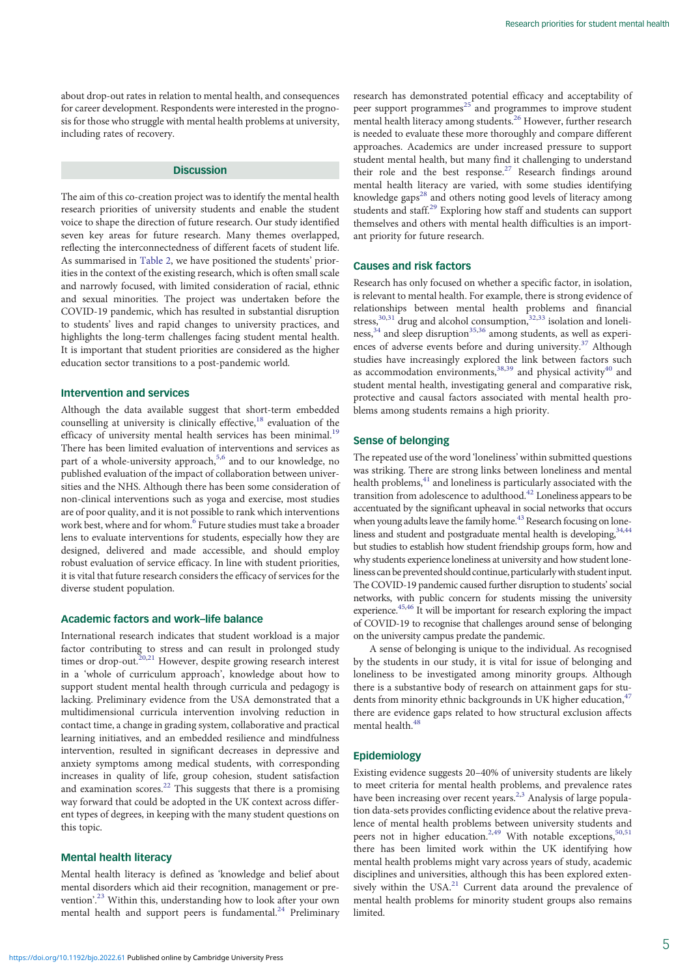about drop-out rates in relation to mental health, and consequences for career development. Respondents were interested in the prognosis for those who struggle with mental health problems at university, including rates of recovery.

# **Discussion**

The aim of this co-creation project was to identify the mental health research priorities of university students and enable the student voice to shape the direction of future research. Our study identified seven key areas for future research. Many themes overlapped, reflecting the interconnectedness of different facets of student life. As summarised in [Table 2](#page-2-0), we have positioned the students' priorities in the context of the existing research, which is often small scale and narrowly focused, with limited consideration of racial, ethnic and sexual minorities. The project was undertaken before the COVID-19 pandemic, which has resulted in substantial disruption to students' lives and rapid changes to university practices, and highlights the long-term challenges facing student mental health. It is important that student priorities are considered as the higher education sector transitions to a post-pandemic world.

# Intervention and services

Although the data available suggest that short-term embedded counselling at university is clinically effective,<sup>[18](#page-6-0)</sup> evaluation of the efficacy of university mental health services has been minimal.<sup>19</sup> There has been limited evaluation of interventions and services as part of a whole-university approach,<sup>5,[6](#page-5-0)</sup> and to our knowledge, no published evaluation of the impact of collaboration between universities and the NHS. Although there has been some consideration of non-clinical interventions such as yoga and exercise, most studies are of poor quality, and it is not possible to rank which interventions work best, where and for whom.<sup>[6](#page-5-0)</sup> Future studies must take a broader lens to evaluate interventions for students, especially how they are designed, delivered and made accessible, and should employ robust evaluation of service efficacy. In line with student priorities, it is vital that future research considers the efficacy of services for the diverse student population.

# Academic factors and work–life balance

International research indicates that student workload is a major factor contributing to stress and can result in prolonged study times or drop-out.<sup>[20,21](#page-6-0)</sup> However, despite growing research interest in a 'whole of curriculum approach', knowledge about how to support student mental health through curricula and pedagogy is lacking. Preliminary evidence from the USA demonstrated that a multidimensional curricula intervention involving reduction in contact time, a change in grading system, collaborative and practical learning initiatives, and an embedded resilience and mindfulness intervention, resulted in significant decreases in depressive and anxiety symptoms among medical students, with corresponding increases in quality of life, group cohesion, student satisfaction and examination scores.<sup>[22](#page-6-0)</sup> This suggests that there is a promising way forward that could be adopted in the UK context across different types of degrees, in keeping with the many student questions on this topic.

# Mental health literacy

Mental health literacy is defined as 'knowledge and belief about mental disorders which aid their recognition, management or pre-vention'.<sup>[23](#page-6-0)</sup> Within this, understanding how to look after your own mental health and support peers is fundamental.<sup>24</sup> Preliminary research has demonstrated potential efficacy and acceptability of peer support programmes<sup>[25](#page-6-0)</sup> and programmes to improve student mental health literacy among students.[26](#page-6-0) However, further research is needed to evaluate these more thoroughly and compare different approaches. Academics are under increased pressure to support student mental health, but many find it challenging to understand their role and the best response.<sup>[27](#page-6-0)</sup> Research findings around mental health literacy are varied, with some studies identifying knowledge gaps $28$  and others noting good levels of literacy among students and staff[.29](#page-6-0) Exploring how staff and students can support themselves and others with mental health difficulties is an important priority for future research.

#### Causes and risk factors

Research has only focused on whether a specific factor, in isolation, is relevant to mental health. For example, there is strong evidence of relationships between mental health problems and financial stress,<sup>[30,31](#page-6-0)</sup> drug and alcohol consumption,<sup>[32](#page-6-0),[33](#page-6-0)</sup> isolation and loneli-ness,<sup>[34](#page-6-0)</sup> and sleep disruption<sup>[35,36](#page-6-0)</sup> among students, as well as experi-ences of adverse events before and during university.<sup>[37](#page-6-0)</sup> Although studies have increasingly explored the link between factors such as accommodation environments, $38,39$  and physical activity $40$  and student mental health, investigating general and comparative risk, protective and causal factors associated with mental health problems among students remains a high priority.

# Sense of belonging

The repeated use of the word 'loneliness' within submitted questions was striking. There are strong links between loneliness and mental health problems,<sup>41</sup> and loneliness is particularly associated with the transition from adolescence to adulthood.[42](#page-6-0) Loneliness appears to be accentuated by the significant upheaval in social networks that occurs when young adults leave the family home.<sup>[43](#page-6-0)</sup> Research focusing on lone-liness and student and postgraduate mental health is developing, [34,44](#page-6-0) but studies to establish how student friendship groups form, how and why students experience loneliness at university and how student loneliness can be prevented should continue, particularlywith studentinput. The COVID-19 pandemic caused further disruption to students'social networks, with public concern for students missing the university experience.[45,46](#page-6-0) It will be important for research exploring the impact of COVID-19 to recognise that challenges around sense of belonging on the university campus predate the pandemic.

A sense of belonging is unique to the individual. As recognised by the students in our study, it is vital for issue of belonging and loneliness to be investigated among minority groups. Although there is a substantive body of research on attainment gaps for stu-dents from minority ethnic backgrounds in UK higher education,<sup>[47](#page-6-0)</sup> there are evidence gaps related to how structural exclusion affects mental health.<sup>[48](#page-6-0)</sup>

# Epidemiology

Existing evidence suggests 20–40% of university students are likely to meet criteria for mental health problems, and prevalence rates have been increasing over recent years.<sup>2,3</sup> Analysis of large population data-sets provides conflicting evidence about the relative prevalence of mental health problems between university students and peers not in higher education.<sup>[2](#page-5-0)[,49](#page-6-0)</sup> With notable exceptions,<sup>[50,51](#page-6-0)</sup> there has been limited work within the UK identifying how mental health problems might vary across years of study, academic disciplines and universities, although this has been explored extensively within the USA.<sup>21</sup> Current data around the prevalence of mental health problems for minority student groups also remains limited.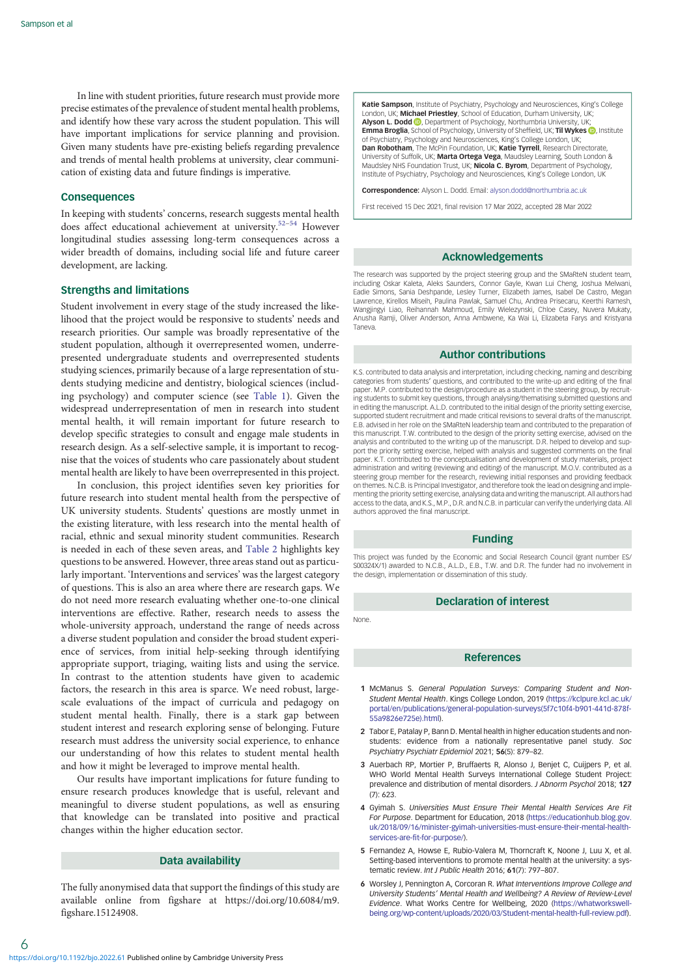<span id="page-5-0"></span>In line with student priorities, future research must provide more precise estimates of the prevalence of student mental health problems, and identify how these vary across the student population. This will have important implications for service planning and provision. Given many students have pre-existing beliefs regarding prevalence and trends of mental health problems at university, clear communication of existing data and future findings is imperative.

## **Consequences**

In keeping with students' concerns, research suggests mental health does affect educational achievement at university.[52](#page-6-0)–[54](#page-6-0) However longitudinal studies assessing long-term consequences across a wider breadth of domains, including social life and future career development, are lacking.

## Strengths and limitations

Student involvement in every stage of the study increased the likelihood that the project would be responsive to students' needs and research priorities. Our sample was broadly representative of the student population, although it overrepresented women, underrepresented undergraduate students and overrepresented students studying sciences, primarily because of a large representation of students studying medicine and dentistry, biological sciences (including psychology) and computer science (see [Table 1\)](#page-1-0). Given the widespread underrepresentation of men in research into student mental health, it will remain important for future research to develop specific strategies to consult and engage male students in research design. As a self-selective sample, it is important to recognise that the voices of students who care passionately about student mental health are likely to have been overrepresented in this project.

In conclusion, this project identifies seven key priorities for future research into student mental health from the perspective of UK university students. Students' questions are mostly unmet in the existing literature, with less research into the mental health of racial, ethnic and sexual minority student communities. Research is needed in each of these seven areas, and [Table 2](#page-2-0) highlights key questions to be answered. However, three areas stand out as particularly important. 'Interventions and services' was the largest category of questions. This is also an area where there are research gaps. We do not need more research evaluating whether one-to-one clinical interventions are effective. Rather, research needs to assess the whole-university approach, understand the range of needs across a diverse student population and consider the broad student experience of services, from initial help-seeking through identifying appropriate support, triaging, waiting lists and using the service. In contrast to the attention students have given to academic factors, the research in this area is sparce. We need robust, largescale evaluations of the impact of curricula and pedagogy on student mental health. Finally, there is a stark gap between student interest and research exploring sense of belonging. Future research must address the university social experience, to enhance our understanding of how this relates to student mental health and how it might be leveraged to improve mental health.

Our results have important implications for future funding to ensure research produces knowledge that is useful, relevant and meaningful to diverse student populations, as well as ensuring that knowledge can be translated into positive and practical changes within the higher education sector.

# Data availability

The fully anonymised data that support the findings of this study are available online from figshare at https://doi.org/10.6084/m9. figshare.15124908.

Katie Sampson, Institute of Psychiatry, Psychology and Neurosciences, King's College London, UK; Michael Priestley, School of Education, Durham University, UK Alyson L. Dodd <sup>D</sup>. Department of Psychology, Northumbria University, UK Emma Broglia, School of Psychology, University of Sheffield, UK; Til Wykes (D, Institute of Psychiatry, Psychology and Neurosciences, King's College London, UK; Dan Robotham, The McPin Foundation, UK; Katie Tyrrell, Research Directorate, University of Suffolk, UK; Marta Ortega Vega, Maudsley Learning, South London & Maudsley NHS Foundation Trust, UK; Nicola C. Byrom, Department of Psychology, Institute of Psychiatry, Psychology and Neurosciences, King's College London, UK

Correspondence: Alyson L. Dodd. Email: [alyson.dodd@northumbria.ac.uk](mailto:alyson.dodd@northumbria.ac.uk)

First received 15 Dec 2021, final revision 17 Mar 2022, accepted 28 Mar 2022

#### Acknowledgements

The research was supported by the project steering group and the SMaRteN student team, including Oskar Kaleta, Aleks Saunders, Connor Gayle, Kwan Lui Cheng, Joshua Melwani, Eadie Simons, Sania Deshpande, Lesley Turner, Elizabeth James, Isabel De Castro, Megan Lawrence, Kirellos Miseih, Paulina Pawlak, Samuel Chu, Andrea Prisecaru, Keerthi Ramesh, Wangjingyi Liao, Reihannah Mahmoud, Emily Wielezynski, Chloe Casey, Nuvera Mukaty, Anusha Ramji, Oliver Anderson, Anna Ambwene, Ka Wai Li, Elizabeta Farys and Kristyana Taneva.

#### Author contributions

K.S. contributed to data analysis and interpretation, including checking, naming and describing categories from students' questions, and contributed to the write-up and editing of the final paper. M.P. contributed to the design/procedure as a student in the steering group, by recruiting students to submit key questions, through analysing/thematising submitted questions and in editing the manuscript. A.L.D. contributed to the initial design of the priority setting exercise, supported student recruitment and made critical revisions to several drafts of the manuscript. E.B. advised in her role on the SMaRteN leadership team and contributed to the preparation of this manuscript. T.W. contributed to the design of the priority setting exercise, advised on the analysis and contributed to the writing up of the manuscript. D.R. helped to develop and support the priority setting exercise, helped with analysis and suggested comments on the final paper. K.T. contributed to the conceptualisation and development of study materials, project administration and writing (reviewing and editing) of the manuscript. M.O.V. contributed as a steering group member for the research, reviewing initial responses and providing feedback on themes. N.C.B. is Principal Investigator, and therefore took the lead on designing and implementing the priority setting exercise, analysing data and writing the manuscript. All authors had access to the data, and K.S., M.P., D.R. and N.C.B. in particular can verify the underlying data. All authors approved the final manuscript.

#### Funding

This project was funded by the Economic and Social Research Council (grant number ES/ S00324X/1) awarded to N.C.B., A.L.D., E.B., T.W. and D.R. The funder had no involvement in the design, implementation or dissemination of this study.

### Declaration of interest

None.

# References

- 1 McManus S. General Population Surveys: Comparing Student and Non-Student Mental Health. Kings College London, 2019 [\(https://kclpure.kcl.ac.uk/](https://kclpure.kcl.ac.uk/portal/en/publications/general-population-surveys(5f7c10f4-b901-441d-878f-55a9826e725e).html) [portal/en/publications/general-population-surveys\(5f7c10f4-b901-441d-878f-](https://kclpure.kcl.ac.uk/portal/en/publications/general-population-surveys(5f7c10f4-b901-441d-878f-55a9826e725e).html)[55a9826e725e\).html\)](https://kclpure.kcl.ac.uk/portal/en/publications/general-population-surveys(5f7c10f4-b901-441d-878f-55a9826e725e).html).
- 2 Tabor E, Patalay P, Bann D. Mental health in higher education students and nonstudents: evidence from a nationally representative panel study. Soc Psychiatry Psychiatr Epidemiol 2021; 56(5): 879–82.
- 3 Auerbach RP, Mortier P, Bruffaerts R, Alonso J, Benjet C, Cuijpers P, et al. WHO World Mental Health Surveys International College Student Project: prevalence and distribution of mental disorders. J Abnorm Psychol 2018; 127 (7): 623.
- 4 Gyimah S. Universities Must Ensure Their Mental Health Services Are Fit For Purpose. Department for Education, 2018 [\(https://educationhub.blog.gov.](https://educationhub.blog.gov.uk/2018/09/16/minister-gyimah-universities-must-ensure-their-mental-health-services-are-fit-for-purpose/) [uk/2018/09/16/minister-gyimah-universities-must-ensure-their-mental-health](https://educationhub.blog.gov.uk/2018/09/16/minister-gyimah-universities-must-ensure-their-mental-health-services-are-fit-for-purpose/)[services-are-fit-for-purpose/\)](https://educationhub.blog.gov.uk/2018/09/16/minister-gyimah-universities-must-ensure-their-mental-health-services-are-fit-for-purpose/).
- 5 Fernandez A, Howse E, Rubio-Valera M, Thorncraft K, Noone J, Luu X, et al. Setting-based interventions to promote mental health at the university: a systematic review. Int J Public Health 2016; 61(7): 797–807.
- 6 Worsley J, Pennington A, Corcoran R. What Interventions Improve College and University Students' Mental Health and Wellbeing? A Review of Review-Level Evidence. What Works Centre for Wellbeing, 2020 [\(https://whatworkswell](https://whatworkswellbeing.org/wp-content/uploads/2020/03/Student-mental-health-full-review.pdf)[being.org/wp-content/uploads/2020/03/Student-mental-health-full-review.pdf](https://whatworkswellbeing.org/wp-content/uploads/2020/03/Student-mental-health-full-review.pdf)).